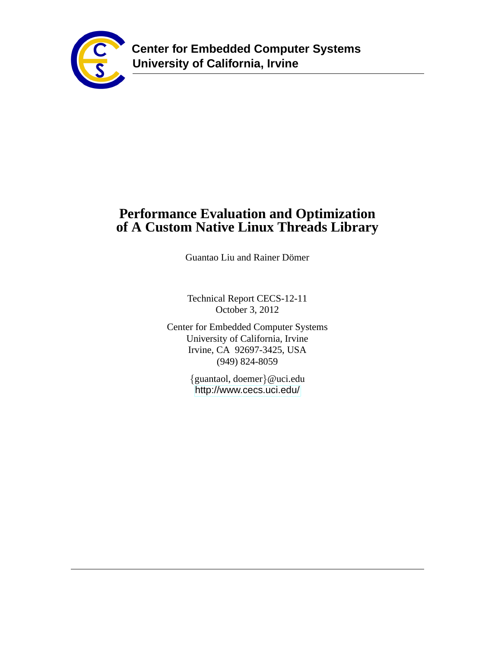

# **Performance Evaluation and Optimization of A Custom Native Linux Threads Library**

Guantao Liu and Rainer Dömer

Technical Report CECS-12-11 October 3, 2012

Center for Embedded Computer Systems University of California, Irvine Irvine, CA 92697-3425, USA (949) 824-8059

> {guantaol, doemer}@uci.edu <http://www.cecs.uci.edu/>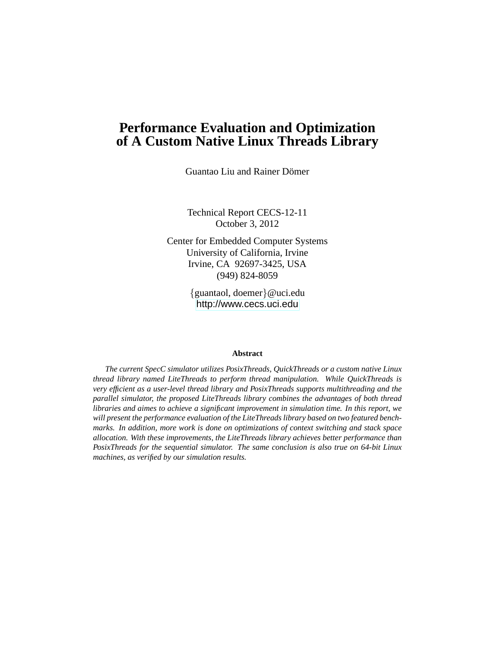## **Performance Evaluation and Optimization of A Custom Native Linux Threads Library**

Guantao Liu and Rainer Dömer

Technical Report CECS-12-11 October 3, 2012

Center for Embedded Computer Systems University of California, Irvine Irvine, CA 92697-3425, USA (949) 824-8059

> {guantaol, doemer}@uci.edu <http://www.cecs.uci.edu>

#### **Abstract**

*The current SpecC simulator utilizes PosixThreads, QuickThreads or a custom native Linux thread library named LiteThreads to perform thread manipulation. While QuickThreads is very efficient as a user-level thread library and PosixThreads supports multithreading and the parallel simulator, the proposed LiteThreads library combines the advantages of both thread libraries and aimes to achieve a significant improvement in simulation time. In this report, we will present the performance evaluation of the LiteThreads library based on two featured benchmarks. In addition, more work is done on optimizations of context switching and stack space allocation. With these improvements, the LiteThreads library achieves better performance than PosixThreads for the sequential simulator. The same conclusion is also true on 64-bit Linux machines, as verified by our simulation results.*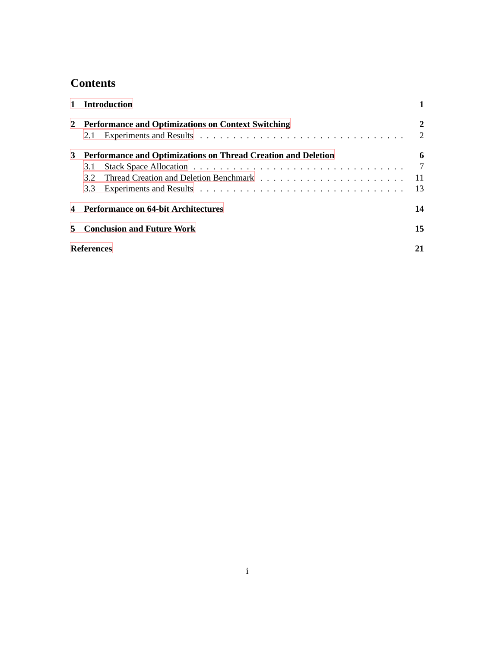# **Contents**

|   | 1 Introduction                                                |     |
|---|---------------------------------------------------------------|-----|
|   | 2 Performance and Optimizations on Context Switching          | 2   |
|   | 2.1                                                           | 2   |
| 3 | Performance and Optimizations on Thread Creation and Deletion | 6   |
|   | 3.1                                                           | 7   |
|   | 32                                                            | -11 |
|   | 3.3                                                           | 13  |
|   | <b>Performance on 64-bit Architectures</b>                    | 14  |
|   | <b>Conclusion and Future Work</b>                             | 15  |
|   | <b>References</b>                                             | 21  |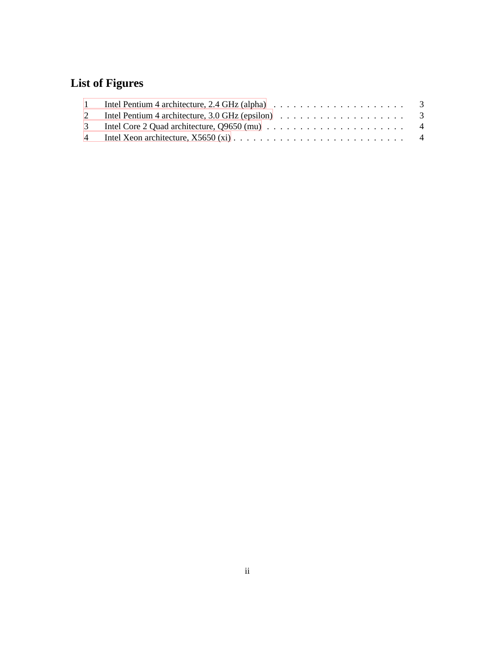# **List of Figures**

| Intel Pentium 4 architecture, 2.4 GHz (alpha) $\ldots \ldots \ldots \ldots \ldots \ldots \ldots$ |  |
|--------------------------------------------------------------------------------------------------|--|
|                                                                                                  |  |
|                                                                                                  |  |
|                                                                                                  |  |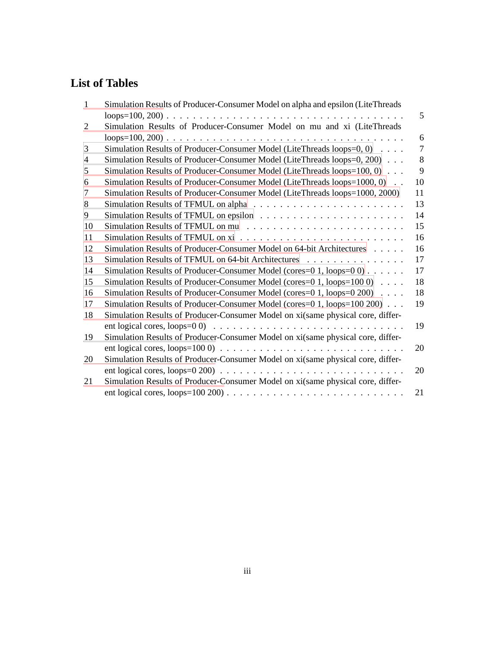# **List of Tables**

| 1              | Simulation Results of Producer-Consumer Model on alpha and epsilon (LiteThreads                                 |    |
|----------------|-----------------------------------------------------------------------------------------------------------------|----|
|                |                                                                                                                 | 5  |
| $\overline{2}$ | Simulation Results of Producer-Consumer Model on mu and xi (LiteThreads                                         |    |
|                |                                                                                                                 | 6  |
| 3              | Simulation Results of Producer-Consumer Model (LiteThreads loops=0, 0)                                          | 7  |
| $\overline{4}$ | Simulation Results of Producer-Consumer Model (LiteThreads loops=0, 200)                                        | 8  |
| 5              | Simulation Results of Producer-Consumer Model (LiteThreads loops=100, 0)                                        | 9  |
| 6              | Simulation Results of Producer-Consumer Model (LiteThreads loops=1000, 0)                                       | 10 |
| 7              | Simulation Results of Producer-Consumer Model (LiteThreads loops=1000, 2000)                                    | 11 |
| 8              |                                                                                                                 | 13 |
| 9              |                                                                                                                 | 14 |
| 10             |                                                                                                                 | 15 |
| 11             |                                                                                                                 | 16 |
| 12             | Simulation Results of Producer-Consumer Model on 64-bit Architectures                                           | 16 |
| 13             | Simulation Results of TFMUL on 64-bit Architectures                                                             | 17 |
| 14             | Simulation Results of Producer-Consumer Model (cores= $0\ 1$ , loops= $0\ 0)$                                   | 17 |
| 15             | Simulation Results of Producer-Consumer Model (cores= $0\ 1, \text{loops}=100\ 0$ )                             | 18 |
| 16             | Simulation Results of Producer-Consumer Model (cores=0 1, loops=0 200)                                          | 18 |
| 17             | Simulation Results of Producer-Consumer Model (cores=0 1, loops=100 200)                                        | 19 |
| 18             | Simulation Results of Producer-Consumer Model on xi(same physical core, differ-                                 |    |
|                | ent logical cores, $\text{loops}=0$ (0) $\ldots \ldots \ldots \ldots \ldots \ldots \ldots \ldots \ldots \ldots$ | 19 |
| 19             | Simulation Results of Producer-Consumer Model on xi(same physical core, differ-                                 |    |
|                |                                                                                                                 | 20 |
| 20             | Simulation Results of Producer-Consumer Model on xi(same physical core, differ-                                 |    |
|                |                                                                                                                 | 20 |
| 21             | Simulation Results of Producer-Consumer Model on xi(same physical core, differ-                                 |    |
|                |                                                                                                                 | 21 |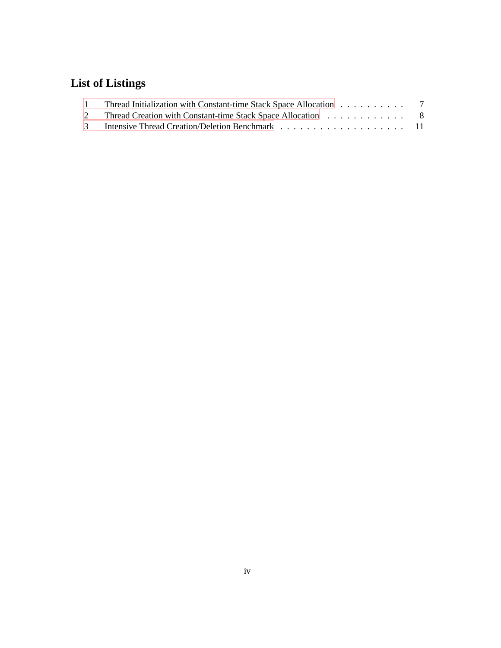# **List of Listings**

| Thread Initialization with Constant-time Stack Space Allocation 7 |  |
|-------------------------------------------------------------------|--|
| 2 Thread Creation with Constant-time Stack Space Allocation 8     |  |
|                                                                   |  |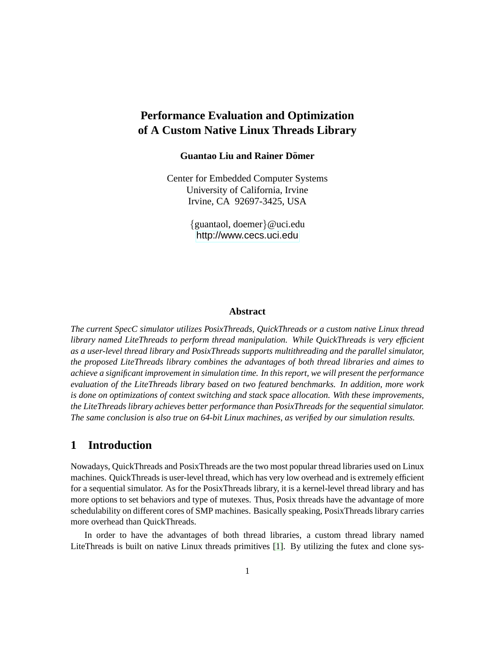## **Performance Evaluation and Optimization of A Custom Native Linux Threads Library**

### **Guantao Liu and Rainer Domer ¨**

Center for Embedded Computer Systems University of California, Irvine Irvine, CA 92697-3425, USA

> {guantaol, doemer}@uci.edu <http://www.cecs.uci.edu>

#### **Abstract**

*The current SpecC simulator utilizes PosixThreads, QuickThreads or a custom native Linux thread library named LiteThreads to perform thread manipulation. While QuickThreads is very efficient as a user-level thread library and PosixThreads supports multithreading and the parallel simulator, the proposed LiteThreads library combines the advantages of both thread libraries and aimes to achieve a significant improvement in simulation time. In this report, we will present the performance evaluation of the LiteThreads library based on two featured benchmarks. In addition, more work is done on optimizations of context switching and stack space allocation. With these improvements, the LiteThreads library achieves better performance than PosixThreads for the sequential simulator. The same conclusion is also true on 64-bit Linux machines, as verified by our simulation results.*

### <span id="page-6-0"></span>**1 Introduction**

Nowadays, QuickThreads and PosixThreads are the two most popular thread libraries used on Linux machines. QuickThreads is user-level thread, which has very low overhead and is extremely efficient for a sequential simulator. As for the PosixThreads library, it is a kernel-level thread library and has more options to set behaviors and type of mutexes. Thus, Posix threads have the advantage of more schedulability on different cores of SMP machines. Basically speaking, PosixThreads library carries more overhead than QuickThreads.

In order to have the advantages of both thread libraries, a custom thread library named LiteThreads is built on native Linux threads primitives [\[1\]](#page-26-1). By utilizing the futex and clone sys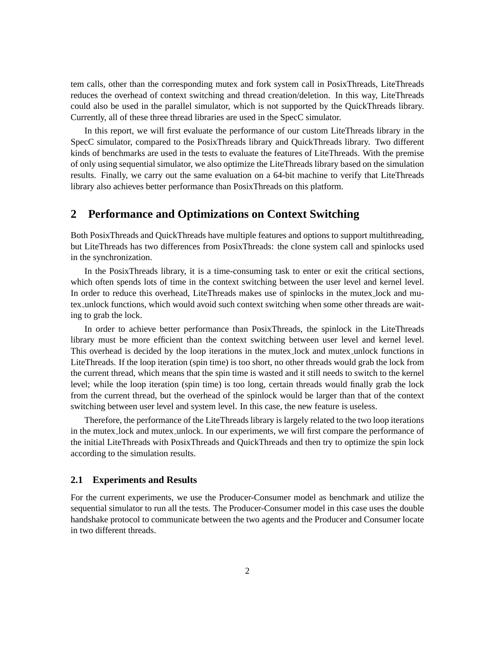tem calls, other than the corresponding mutex and fork system call in PosixThreads, LiteThreads reduces the overhead of context switching and thread creation/deletion. In this way, LiteThreads could also be used in the parallel simulator, which is not supported by the QuickThreads library. Currently, all of these three thread libraries are used in the SpecC simulator.

In this report, we will first evaluate the performance of our custom LiteThreads library in the SpecC simulator, compared to the PosixThreads library and QuickThreads library. Two different kinds of benchmarks are used in the tests to evaluate the features of LiteThreads. With the premise of only using sequential simulator, we also optimize the LiteThreads library based on the simulation results. Finally, we carry out the same evaluation on a 64-bit machine to verify that LiteThreads library also achieves better performance than PosixThreads on this platform.

### <span id="page-7-0"></span>**2 Performance and Optimizations on Context Switching**

Both PosixThreads and QuickThreads have multiple features and options to support multithreading, but LiteThreads has two differences from PosixThreads: the clone system call and spinlocks used in the synchronization.

In the PosixThreads library, it is a time-consuming task to enter or exit the critical sections, which often spends lots of time in the context switching between the user level and kernel level. In order to reduce this overhead, LiteThreads makes use of spinlocks in the mutex lock and mutex unlock functions, which would avoid such context switching when some other threads are waiting to grab the lock.

In order to achieve better performance than PosixThreads, the spinlock in the LiteThreads library must be more efficient than the context switching between user level and kernel level. This overhead is decided by the loop iterations in the mutex lock and mutex unlock functions in LiteThreads. If the loop iteration (spin time) is too short, no other threads would grab the lock from the current thread, which means that the spin time is wasted and it still needs to switch to the kernel level; while the loop iteration (spin time) is too long, certain threads would finally grab the lock from the current thread, but the overhead of the spinlock would be larger than that of the context switching between user level and system level. In this case, the new feature is useless.

Therefore, the performance of the LiteThreads library is largely related to the two loop iterations in the mutex lock and mutex unlock. In our experiments, we will first compare the performance of the initial LiteThreads with PosixThreads and QuickThreads and then try to optimize the spin lock according to the simulation results.

### <span id="page-7-1"></span>**2.1 Experiments and Results**

For the current experiments, we use the Producer-Consumer model as benchmark and utilize the sequential simulator to run all the tests. The Producer-Consumer model in this case uses the double handshake protocol to communicate between the two agents and the Producer and Consumer locate in two different threads.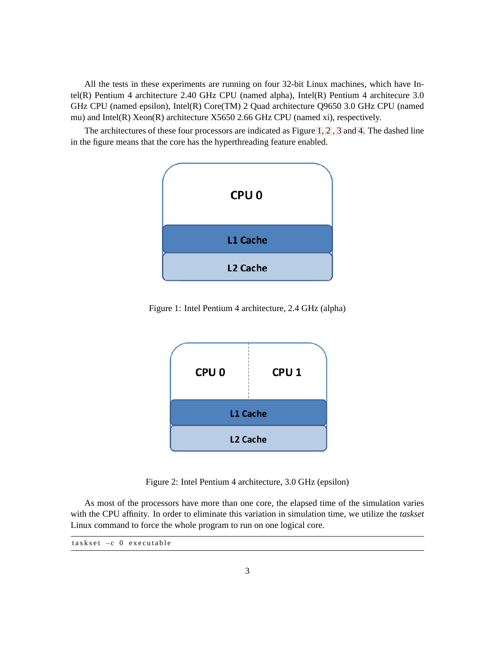All the tests in these experiments are running on four 32-bit Linux machines, which have Intel(R) Pentium 4 architecture 2.40 GHz CPU (named alpha), Intel(R) Pentium 4 architecure 3.0 GHz CPU (named epsilon), Intel(R) Core(TM) 2 Quad architecture Q9650 3.0 GHz CPU (named mu) and Intel(R) Xeon(R) architecture X5650 2.66 GHz CPU (named xi), respectively.

The architectures of these four processors are indicated as Figure [1,](#page-7-1) [2](#page-7-1) , [3](#page-7-1) and [4.](#page-7-1) The dashed line in the figure means that the core has the hyperthreading feature enabled.



Figure 1: Intel Pentium 4 architecture, 2.4 GHz (alpha)



Figure 2: Intel Pentium 4 architecture, 3.0 GHz (epsilon)

As most of the processors have more than one core, the elapsed time of the simulation varies with the CPU affinity. In order to eliminate this variation in simulation time, we utilize the *taskset* Linux command to force the whole program to run on one logical core.

<span id="page-8-0"></span> $task set -c 0 executable$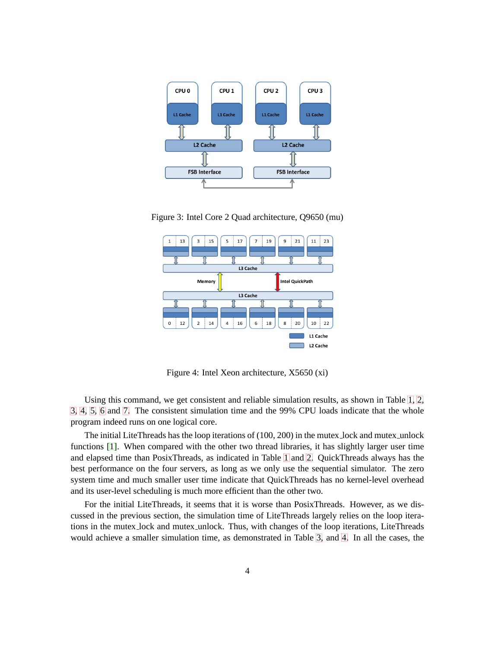

Figure 3: Intel Core 2 Quad architecture, Q9650 (mu)



Figure 4: Intel Xeon architecture, X5650 (xi)

Using this command, we get consistent and reliable simulation results, as shown in Table [1, 2,](#page-8-0) [3, 4, 5, 6](#page-8-0) and [7.](#page-8-0) The consistent simulation time and the 99% CPU loads indicate that the whole program indeed runs on one logical core.

The initial LiteThreads has the loop iterations of (100, 200) in the mutex lock and mutex unlock functions [\[1\]](#page-26-1). When compared with the other two thread libraries, it has slightly larger user time and elapsed time than PosixThreads, as indicated in Table [1](#page-8-0) and [2.](#page-8-0) QuickThreads always has the best performance on the four servers, as long as we only use the sequential simulator. The zero system time and much smaller user time indicate that QuickThreads has no kernel-level overhead and its user-level scheduling is much more efficient than the other two.

For the initial LiteThreads, it seems that it is worse than PosixThreads. However, as we discussed in the previous section, the simulation time of LiteThreads largely relies on the loop iterations in the mutex lock and mutex unlock. Thus, with changes of the loop iterations, LiteThreads would achieve a smaller simulation time, as demonstrated in Table [3,](#page-8-0) and [4.](#page-8-0) In all the cases, the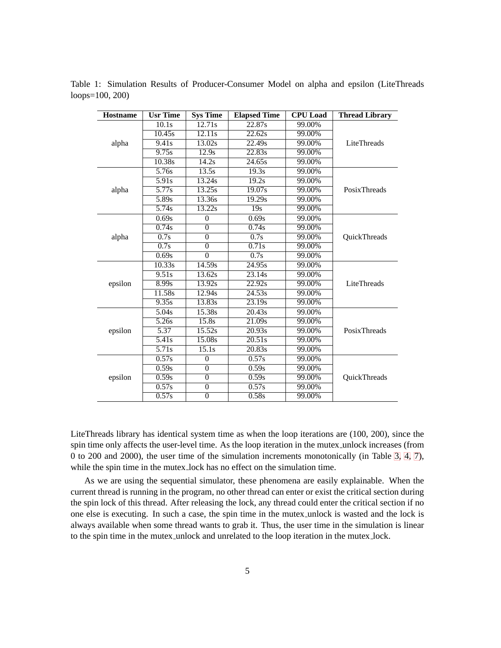| <b>Hostname</b> | <b>Usr Time</b> | <b>Sys Time</b> | <b>Elapsed Time</b> | <b>CPU</b> Load | <b>Thread Library</b> |
|-----------------|-----------------|-----------------|---------------------|-----------------|-----------------------|
|                 | 10.1s           | 12.71s          | 22.87s              | 99.00%          |                       |
|                 | 10.45s          | 12.11s          | 22.62s              | 99.00%          |                       |
| alpha           | 9.41s           | 13.02s          | 22.49s              | 99.00%          | LiteThreads           |
|                 | 9.75s           | 12.9s           | 22.83s              | 99.00%          |                       |
|                 | 10.38s          | 14.2s           | 24.65s              | 99.00%          |                       |
|                 | 5.76s           | 13.5s           | 19.3s               | 99.00%          |                       |
|                 | 5.91s           | 13.24s          | 19.2s               | 99.00%          |                       |
| alpha           | 5.77s           | 13.25s          | 19.07s              | 99.00%          | PosixThreads          |
|                 | 5.89s           | 13.36s          | 19.29s              | 99.00%          |                       |
|                 | 5.74s           | 13.22s          | $\overline{19s}$    | 99.00%          |                       |
|                 | 0.69s           | $\theta$        | 0.69s               | 99.00%          |                       |
|                 | 0.74s           | $\overline{0}$  | 0.74s               | 99.00%          |                       |
| alpha           | 0.7s            | $\overline{0}$  | 0.7s                | 99.00%          | <b>QuickThreads</b>   |
|                 | 0.7s            | $\overline{0}$  | 0.71s               | 99.00%          |                       |
|                 | 0.69s           | $\theta$        | 0.7s                | 99.00%          |                       |
|                 | 10.33s          | 14.59s          | 24.95s              | 99.00%          |                       |
|                 | 9.51s           | 13.62s          | 23.14s              | 99.00%          | LiteThreads           |
| epsilon         | 8.99s           | 13.92s          | 22.92s              | 99.00%          |                       |
|                 | 11.58s          | 12.94s          | 24.53s              | 99.00%          |                       |
|                 | 9.35s           | 13.83s          | 23.19s              | 99.00%          |                       |
|                 | 5.04s           | 15.38s          | 20.43s              | 99.00%          |                       |
|                 | 5.26s           | 15.8s           | 21.09s              | 99.00%          |                       |
| epsilon         | 5.37            | 15.52s          | 20.93s              | 99.00%          | PosixThreads          |
|                 | 5.41s           | 15.08s          | 20.51s              | 99.00%          |                       |
|                 | 5.71s           | 15.1s           | 20.83s              | 99.00%          |                       |
|                 | 0.57s           | $\overline{0}$  | 0.57s               | 99.00%          |                       |
|                 | 0.59s           | $\overline{0}$  | 0.59s               | 99.00%          |                       |
| epsilon         | 0.59s           | $\overline{0}$  | 0.59s               | 99.00%          | QuickThreads          |
|                 | 0.57s           | $\overline{0}$  | 0.57s               | 99.00%          |                       |
|                 | 0.57s           | $\overline{0}$  | 0.58s               | 99.00%          |                       |

Table 1: Simulation Results of Producer-Consumer Model on alpha and epsilon (LiteThreads loops= $100, 200$ 

LiteThreads library has identical system time as when the loop iterations are  $(100, 200)$ , since the spin time only affects the user-level time. As the loop iteration in the mutex unlock increases (from 0 to 200 and 2000), the user time of the simulation increments monotonically (in Table 3, 4, 7), while the spin time in the mutex lock has no effect on the simulation time.

As we are using the sequential simulator, these phenomena are easily explainable. When the current thread is running in the program, no other thread can enter or exist the critical section during the spin lock of this thread. After releasing the lock, any thread could enter the critical section if no one else is executing. In such a case, the spin time in the mutex unlock is wasted and the lock is always available when some thread wants to grab it. Thus, the user time in the simulation is linear to the spin time in the mutex\_unlock and unrelated to the loop iteration in the mutex\_lock.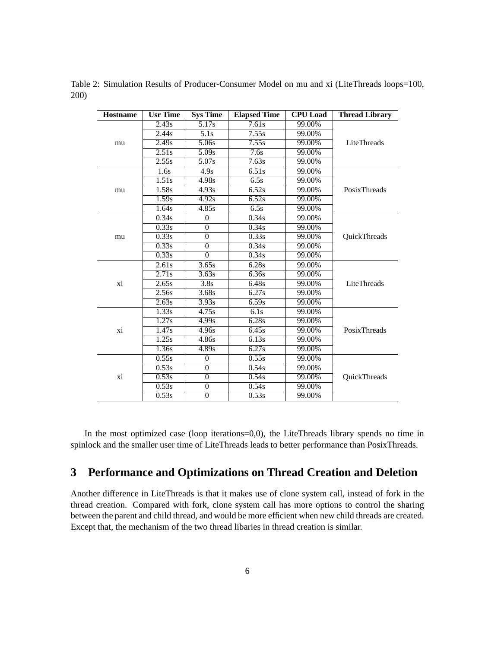Table 2: Simulation Results of Producer-Consumer Model on mu and xi (LiteThreads loops=100, 200)

| <b>Hostname</b> | <b>Usr Time</b> | <b>Sys Time</b> | <b>Elapsed Time</b> | <b>CPU</b> Load | <b>Thread Library</b> |
|-----------------|-----------------|-----------------|---------------------|-----------------|-----------------------|
|                 | 2.43s           | 5.17s           | 7.61s               | 99.00%          |                       |
|                 | 2.44s           | 5.1s            | 7.55s               | 99.00%          |                       |
| mu              | 2.49s           | 5.06s           | 7.55s               | 99.00%          | LiteThreads           |
|                 | 2.51s           | 5.09s           | 7.6s                | 99.00%          |                       |
|                 | 2.55s           | 5.07s           | 7.63s               | 99.00%          |                       |
|                 | 1.6s            | 4.9s            | 6.51s               | 99.00%          |                       |
|                 | 1.51s           | 4.98s           | 6.5s                | 99.00%          |                       |
| mu              | 1.58s           | 4.93s           | 6.52s               | 99.00%          | PosixThreads          |
|                 | 1.59s           | 4.92s           | 6.52s               | 99.00%          |                       |
|                 | 1.64s           | 4.85s           | 6.5s                | 99.00%          |                       |
|                 | 0.34s           | $\mathbf{0}$    | 0.34s               | 99.00%          |                       |
|                 | 0.33s           | $\theta$        | 0.34s               | 99.00%          |                       |
| mu              | 0.33s           | $\overline{0}$  | 0.33s               | 99.00%          | <b>OuickThreads</b>   |
|                 | 0.33s           | $\overline{0}$  | 0.34s               | 99.00%          |                       |
|                 | 0.33s           | $\Omega$        | 0.34s               | 99.00%          |                       |
|                 | 2.61s           | 3.65s           | 6.28s               | 99.00%          | LiteThreads           |
|                 | 2.71s           | 3.63s           | 6.36s               | 99.00%          |                       |
| xi              | 2.65s           | 3.8s            | 6.48s               | 99.00%          |                       |
|                 | 2.56s           | 3.68s           | 6.27s               | 99.00%          |                       |
|                 | 2.63s           | 3.93s           | 6.59s               | 99.00%          |                       |
|                 | 1.33s           | 4.75s           | 6.1s                | 99.00%          |                       |
|                 | 1.27s           | 4.99s           | 6.28s               | 99.00%          |                       |
| хi              | 1.47s           | 4.96s           | 6.45s               | 99.00%          | PosixThreads          |
|                 | 1.25s           | 4.86s           | 6.13s               | 99.00%          |                       |
|                 | 1.36s           | 4.89s           | 6.27s               | 99.00%          |                       |
|                 | 0.55s           | $\theta$        | 0.55s               | 99.00%          |                       |
|                 | 0.53s           | $\overline{0}$  | 0.54s               | 99.00%          |                       |
| хi              | 0.53s           | $\overline{0}$  | 0.54s               | 99.00%          | <b>OuickThreads</b>   |
|                 | 0.53s           | $\mathbf{0}$    | 0.54s               | 99.00%          |                       |
|                 | 0.53s           | $\theta$        | 0.53s               | 99.00%          |                       |

In the most optimized case (loop iterations=0,0), the LiteThreads library spends no time in spinlock and the smaller user time of LiteThreads leads to better performance than PosixThreads.

#### <span id="page-11-0"></span>Performance and Optimizations on Thread Creation and Deletion  $3<sup>1</sup>$

Another difference in LiteThreads is that it makes use of clone system call, instead of fork in the thread creation. Compared with fork, clone system call has more options to control the sharing between the parent and child thread, and would be more efficient when new child threads are created. Except that, the mechanism of the two thread libaries in thread creation is similar.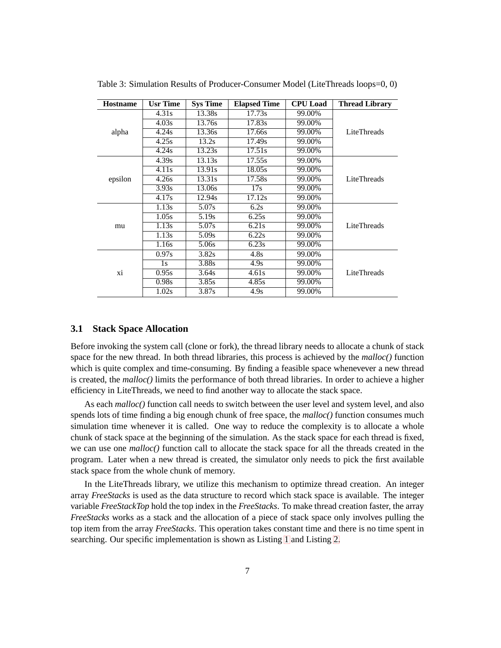| <b>Hostname</b> | <b>Usr Time</b> | <b>Sys Time</b>   | <b>Elapsed Time</b> | <b>CPU</b> Load | <b>Thread Library</b> |
|-----------------|-----------------|-------------------|---------------------|-----------------|-----------------------|
|                 | 4.31s           | 13.38s            | 17.73s              | 99.00%          |                       |
|                 | 4.03s           | 13.76s            | 17.83s              | 99.00%          |                       |
| alpha           | 4.24s           | 13.36s            | 17.66s              | 99.00%          | LiteThreads           |
|                 | 4.25s           | 13.2s             | 17.49s              | 99.00%          |                       |
|                 | 4.24s           | 13.23s            | 17.51s              | 99.00%          |                       |
|                 | 4.39s           | 13.13s            | 17.55s              | 99.00%          |                       |
|                 | 4.11s           | 13.91s            | 18.05s              | 99.00%          |                       |
| epsilon         | 4.26s           | 13.31s            | 17.58s              | 99.00%          | LiteThreads           |
|                 | 3.93s           | 13.06s            | 17s                 | 99.00%          |                       |
|                 | 4.17s           | 12.94s            | 17.12s              | 99.00%          |                       |
|                 | 1.13s           | 5.07s             | 6.2s                | 99.00%          |                       |
|                 | 1.05s           | 5.19 <sub>s</sub> | 6.25s               | 99.00%          |                       |
| mu              | 1.13s           | 5.07s             | 6.21s               | 99.00%          | LiteThreads           |
|                 | 1.13s           | 5.09s             | 6.22s               | 99.00%          |                       |
|                 | 1.16s           | 5.06s             | 6.23s               | 99.00%          |                       |
|                 | 0.97s           | 3.82s             | 4.8s                | 99.00%          |                       |
|                 | 1s              | 3.88s             | 4.9s                | 99.00%          |                       |
| xi              | 0.95s           | 3.64s             | 4.61s               | 99.00%          | LiteThreads           |
|                 | 0.98s           | 3.85s             | 4.85s               | 99.00%          |                       |
|                 | 1.02s           | 3.87s             | 4.9s                | 99.00%          |                       |

Table 3: Simulation Results of Producer-Consumer Model (LiteThreads loops=0, 0)

### <span id="page-12-0"></span>**3.1 Stack Space Allocation**

Before invoking the system call (clone or fork), the thread library needs to allocate a chunk of stack space for the new thread. In both thread libraries, this process is achieved by the *malloc()* function which is quite complex and time-consuming. By finding a feasible space whenevever a new thread is created, the *malloc()* limits the performance of both thread libraries. In order to achieve a higher efficiency in LiteThreads, we need to find another way to allocate the stack space.

As each *malloc()* function call needs to switch between the user level and system level, and also spends lots of time finding a big enough chunk of free space, the *malloc()* function consumes much simulation time whenever it is called. One way to reduce the complexity is to allocate a whole chunk of stack space at the beginning of the simulation. As the stack space for each thread is fixed, we can use one *malloc()* function call to allocate the stack space for all the threads created in the program. Later when a new thread is created, the simulator only needs to pick the first available stack space from the whole chunk of memory.

<span id="page-12-1"></span>In the LiteThreads library, we utilize this mechanism to optimize thread creation. An integer array *FreeStacks* is used as the data structure to record which stack space is available. The integer variable *FreeStackTop* hold the top index in the *FreeStacks*. To make thread creation faster, the array *FreeStacks* works as a stack and the allocation of a piece of stack space only involves pulling the top item from the array *FreeStacks*. This operation takes constant time and there is no time spent in searching. Our specific implementation is shown as Listing [1](#page-12-1) and Listing [2.](#page-13-0)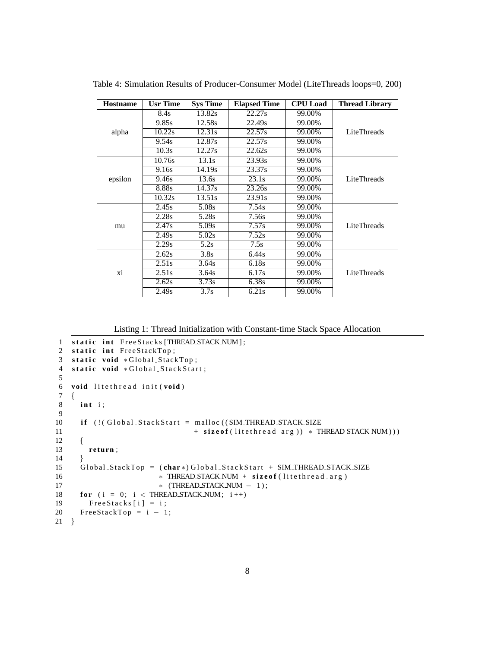| <b>Hostname</b> | <b>Usr Time</b> | <b>Sys Time</b> | <b>Elapsed Time</b> | <b>CPU</b> Load | <b>Thread Library</b> |
|-----------------|-----------------|-----------------|---------------------|-----------------|-----------------------|
|                 | 8.4s            | 13.82s          | 22.27s              | 99.00%          |                       |
|                 | 9.85s           | 12.58s          | 22.49s              | 99.00%          |                       |
| alpha           | 10.22s          | 12.31s          | 22.57s              | 99.00%          | LiteThreads           |
|                 | 9.54s           | 12.87s          | 22.57s              | 99.00%          |                       |
|                 | 10.3s           | 12.27s          | 22.62s              | 99.00%          |                       |
|                 | 10.76s          | 13.1s           | 23.93s              | 99.00%          |                       |
|                 | 9.16s           | 14.19s          | 23.37s              | 99.00%          |                       |
| epsilon         | 9.46s           | 13.6s           | 23.1s               | 99.00%          | LiteThreads           |
|                 | 8.88s           | 14.37s          | 23.26s              | 99.00%          |                       |
|                 | 10.32s          | 13.51s          | 23.91s              | 99.00%          |                       |
|                 | 2.45s           | 5.08s           | 7.54s               | 99.00%          |                       |
|                 | 2.28s           | 5.28s           | 7.56s               | 99.00%          |                       |
| mu              | 2.47s           | 5.09s           | 7.57s               | 99.00%          | LiteThreads           |
|                 | 2.49s           | 5.02s           | 7.52s               | 99.00%          |                       |
|                 | 2.29s           | 5.2s            | 7.5s                | 99.00%          |                       |
|                 | 2.62s           | 3.8s            | 6.44s               | 99.00%          |                       |
|                 | 2.51s           | 3.64s           | 6.18s               | 99.00%          |                       |
| xi              | 2.51s           | 3.64s           | 6.17s               | 99.00%          | LiteThreads           |
|                 | 2.62s           | 3.73s           | 6.38s               | 99.00%          |                       |
|                 | 2.49s           | 3.7s            | 6.21s               | 99.00%          |                       |

Table 4: Simulation Results of Producer-Consumer Model (LiteThreads loops=0, 200)

Listing 1: Thread Initialization with Constant-time Stack Space Allocation

```
1 static int FreeStacks [THREAD STACK NUM];
2 static int FreeStackTop;
3 static void *Global_StackTop;
4 static void *Global StackStart;
\sqrt{5}6
   void litethread init (void)
\overline{7}\{\bf{8}int i:\overline{9}10\,if (!(Global_StackStart = malloc ((SIM_THREAD_STACK_SIZE
                                  + size of (lite thread_arg)) * THREAD_STACK_NUM)))
11
12
      {
13
        return;
14}
15
      Global_StackTop = (char*)Global_StackStart + SIM_THREAD_STACK_SIZE
16
                         * THREAD_STACK_NUM + sizeof(litethread_arg)
17
                         * (THREAD_STACK_NUM - 1);
18
      for (i = 0; i < THREAD STACK NUM; i++)
19
        FreeStacks [i] = i;
20
      FreeStackTop = i - 1;21 \}
```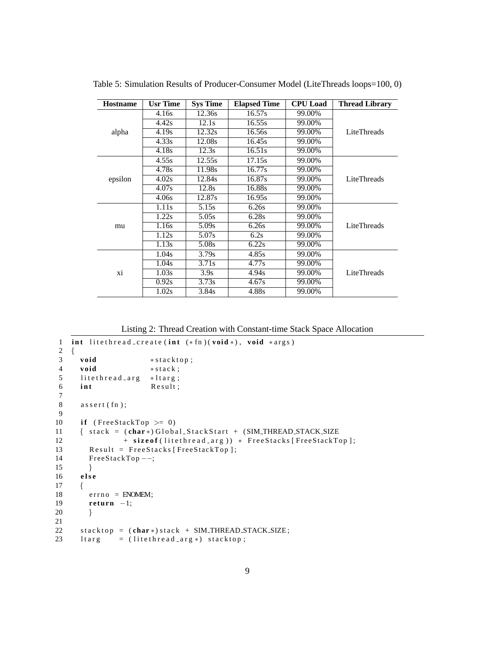| <b>Hostname</b> | <b>Usr Time</b> | <b>Sys Time</b> | <b>Elapsed Time</b> | <b>CPU</b> Load | <b>Thread Library</b> |
|-----------------|-----------------|-----------------|---------------------|-----------------|-----------------------|
|                 | 4.16s           | 12.36s          | 16.57s              | 99.00%          |                       |
|                 | 4.42s           | 12.1s           | 16.55s              | 99.00%          |                       |
| alpha           | 4.19s           | 12.32s          | 16.56s              | 99.00%          | LiteThreads           |
|                 | 4.33s           | 12.08s          | 16.45s              | 99.00%          |                       |
|                 | 4.18s           | 12.3s           | 16.51s              | 99.00%          |                       |
|                 | 4.55s           | 12.55s          | 17.15s              | 99.00%          |                       |
|                 | 4.78s           | 11.98s          | 16.77s              | 99.00%          |                       |
| epsilon         | 4.02s           | 12.84s          | 16.87s              | 99.00%          | LiteThreads           |
|                 | 4.07s           | 12.8s           | 16.88s              | 99.00%          |                       |
|                 | 4.06s           | 12.87s          | 16.95s              | 99.00%          |                       |
|                 | 1.11s           | 5.15s           | 6.26s               | 99.00%          |                       |
|                 | 1.22s           | 5.05s           | 6.28s               | 99.00%          |                       |
| mu              | 1.16s           | 5.09s           | 6.26s               | 99.00%          | <b>LiteThreads</b>    |
|                 | 1.12s           | 5.07s           | 6.2s                | 99.00%          |                       |
|                 | 1.13s           | 5.08s           | 6.22s               | 99.00%          |                       |
|                 | 1.04s           | 3.79s           | 4.85s               | 99.00%          |                       |
|                 | 1.04s           | 3.71s           | 4.77s               | 99.00%          |                       |
| xi              | 1.03s           | 3.9s            | 4.94s               | 99.00%          | <b>LiteThreads</b>    |
|                 | 0.92s           | 3.73s           | 4.67s               | 99.00%          |                       |
|                 | 1.02s           | 3.84s           | 4.88s               | 99.00%          |                       |

Table 5: Simulation Results of Producer-Consumer Model (LiteThreads loops=100, 0)

Listing 2: Thread Creation with Constant-time Stack Space Allocation

```
1 int litethread_create(int (*fn)(void *), void *args)2 \{void
                         *stacktop;
 \overline{3}\overline{4}void
                         * stack;
      litethread_arg
 \sqrt{5}*ltarg;
 6
      int
                          Result;\overline{7}\bf{8}\alphassert(\text{fn});\overline{Q}if (FreeStackTop \geq 0)
10\,\{ stack = (char*) Global_StackStart + (SIM\_THREAD\_STACK\_SIZE11
12
                  + sizeof(litethread_arg)) * FreeStacks [FreeStackTop];
13
         Result = FreeStacks [FreeStackTop];
14FreeStackTop \, --;15
         \}16
       else
17
       ₹
18\,error = ENOMEM;19
         return -1;20
         \}21
22
       stacktop = (char*)stack + SIM_THREAD_STACK_SIZE;
       It arg = (litethread\_arg*) stacktop;23
```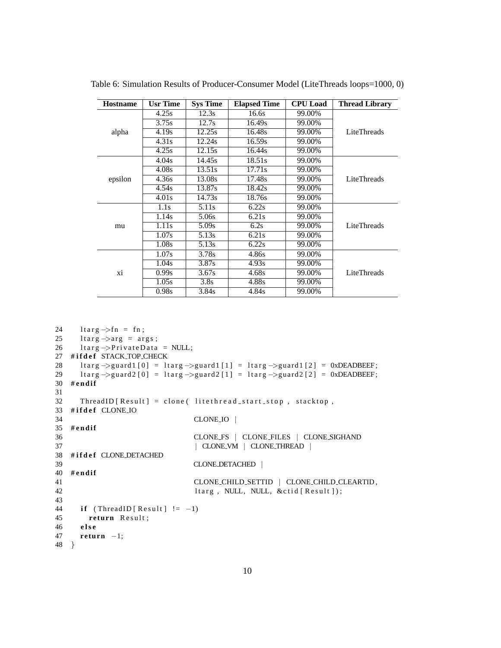| <b>Hostname</b> | <b>Usr Time</b> | <b>Sys Time</b> | <b>Elapsed Time</b> | <b>CPU</b> Load | <b>Thread Library</b> |
|-----------------|-----------------|-----------------|---------------------|-----------------|-----------------------|
|                 | 4.25s           | 12.3s           | 16.6s               | 99.00%          |                       |
|                 | 3.75s           | 12.7s           | 16.49s              | 99.00%          |                       |
| alpha           | 4.19s           | 12.25s          | 16.48s              | 99.00%          | LiteThreads           |
|                 | 4.31s           | 12.24s          | 16.59s              | 99.00%          |                       |
|                 | 4.25s           | 12.15s          | 16.44s              | 99.00%          |                       |
|                 | 4.04s           | 14.45s          | 18.51s              | 99.00%          |                       |
|                 | 4.08s           | 13.51s          | 17.71s              | 99.00%          |                       |
| epsilon         | 4.36s           | 13.08s          | 17.48s              | 99.00%          | LiteThreads           |
|                 | 4.54s           | 13.87s          | 18.42s              | 99.00%          |                       |
|                 | 4.01s           | 14.73s          | 18.76s              | 99.00%          |                       |
|                 | 1.1s            | 5.11s           | 6.22s               | 99.00%          |                       |
|                 | 1.14s           | 5.06s           | 6.21s               | 99.00%          |                       |
| mu              | 1.11s           | 5.09s           | 6.2s                | 99.00%          | LiteThreads           |
|                 | 1.07s           | 5.13s           | 6.21s               | 99.00%          |                       |
|                 | 1.08s           | 5.13s           | 6.22s               | 99.00%          |                       |
|                 | 1.07s           | 3.78s           | 4.86s               | 99.00%          |                       |
|                 | 1.04s           | 3.87s           | 4.93s               | 99.00%          |                       |
| xi              | 0.99s           | 3.67s           | 4.68s               | 99.00%          | LiteThreads           |
|                 | 1.05s           | 3.8s            | 4.88s               | 99.00%          |                       |
|                 | 0.98s           | 3.84s           | 4.84s               | 99.00%          |                       |

Table 6: Simulation Results of Producer-Consumer Model (LiteThreads loops=1000, 0)

```
24
      ltarg \rightarrow fn = fn;ltarg \rightarrow arg = args;
25
      ltarg \rightarrow PrivateData = NULL;
26
27 #ifdef STACK TOP CHECK
28
      ltarg \rightarrowguard1[0] = ltarg \rightarrowguard1[1] = ltarg \rightarrowguard1[2] = 0xDEADBEEF;
29
      ltarg \rightarrowguard2[0] = ltarg \rightarrowguard2[1] = ltarg \rightarrowguard2[2] = 0xDEADBEEF;
30 \#endif
31
      ThreadID [Result] = clone ( litethread_start_stop, stacktop,
32
33 #ifdef CLONE_IO
34
                                     CLONE_IO |
35 #endif
36
                                     CLONE FS | CLONE FILES | CLONE SIGHAND
                                     | CLONE VM | CLONE THREAD |
37\,38 #ifdef CLONE_DETACHED
                                    CLONE_DETACHED |
39
40 #endif
41
                                     CLONE CHILD SETTID | CLONE CHILD CLEARTID,
42
                                     ltarg, NULL, NULL, &ctid [Result]);
43
      if (ThreadID[Result] != -1)
44
45
         return Result;
46
      else
47
      return -1;48 }
```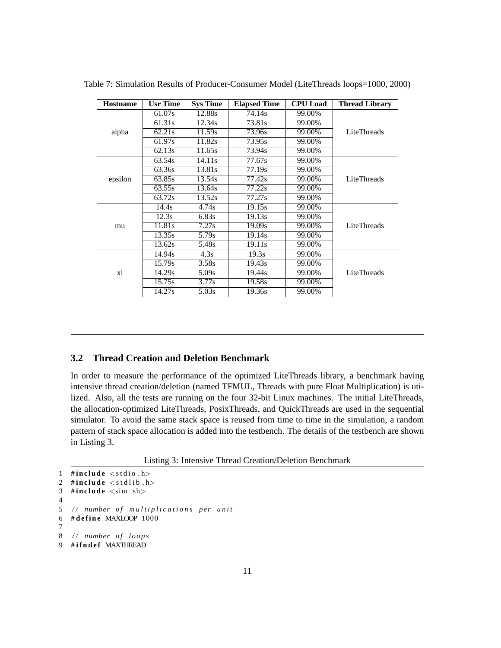| <b>Hostname</b> | <b>Usr Time</b> | <b>Sys Time</b> | <b>Elapsed Time</b> | <b>CPU</b> Load | <b>Thread Library</b> |
|-----------------|-----------------|-----------------|---------------------|-----------------|-----------------------|
|                 | 61.07s          | 12.88s          | 74.14s              | 99.00%          |                       |
|                 | 61.31s          | 12.34s          | 73.81s              | 99.00%          |                       |
| alpha           | 62.21s          | 11.59s          | 73.96s              | 99.00%          | LiteThreads           |
|                 | 61.97s          | 11.82s          | 73.95s              | 99.00%          |                       |
|                 | 62.13s          | 11.65s          | 73.94s              | 99.00%          |                       |
|                 | 63.54s          | 14.11s          | 77.67s              | 99.00%          |                       |
|                 | 63.36s          | 13.81s          | 77.19s              | 99.00%          |                       |
| epsilon         | 63.85s          | 13.54s          | 77.42s              | 99.00%          | LiteThreads           |
|                 | 63.55s          | 13.64s          | 77.22s              | 99.00%          |                       |
|                 | 63.72s          | 13.52s          | 77.27s              | 99.00%          |                       |
|                 | 14.4s           | 4.74s           | 19.15s              | 99.00%          |                       |
|                 | 12.3s           | 6.83s           | 19.13s              | 99.00%          |                       |
| mu              | 11.81s          | 7.27s           | 19.09s              | 99.00%          | LiteThreads           |
|                 | 13.35s          | 5.79s           | 19.14s              | 99.00%          |                       |
|                 | 13.62s          | 5.48s           | 19.11 <sub>s</sub>  | 99.00%          |                       |
|                 | 14.94s          | 4.3s            | 19.3s               | 99.00%          |                       |
|                 | 15.79s          | 3.58s           | 19.43s              | 99.00%          |                       |
| xi              | 14.29s          | 5.09s           | 19.44s              | 99.00%          | LiteThreads           |
|                 | 15.75s          | 3.77s           | 19.58s              | 99.00%          |                       |
|                 | 14.27s          | 5.03s           | 19.36s              | 99.00%          |                       |

Table 7: Simulation Results of Producer-Consumer Model (LiteThreads loops=1000, 2000)

#### <span id="page-16-0"></span> $3.2$ **Thread Creation and Deletion Benchmark**

In order to measure the performance of the optimized LiteThreads library, a benchmark having intensive thread creation/deletion (named TFMUL, Threads with pure Float Multiplication) is utilized. Also, all the tests are running on the four 32-bit Linux machines. The initial LiteThreads, the allocation-optimized LiteThreads, PosixThreads, and QuickThreads are used in the sequential simulator. To avoid the same stack space is reused from time to time in the simulation, a random pattern of stack space allocation is added into the testbench. The details of the testbench are shown in Listing 3.

Listing 3: Intensive Thread Creation/Deletion Benchmark

```
1 #include \langlestdio.h\rangle2 #include \ltstdlib.h>
3 #include \langlesim.sh>
\overline{4}// number of multiplications per unit
5
6
  #define MAXLOOP 1000
\overline{7}8
  // number of loops
9 #ifndef MAXTHREAD
```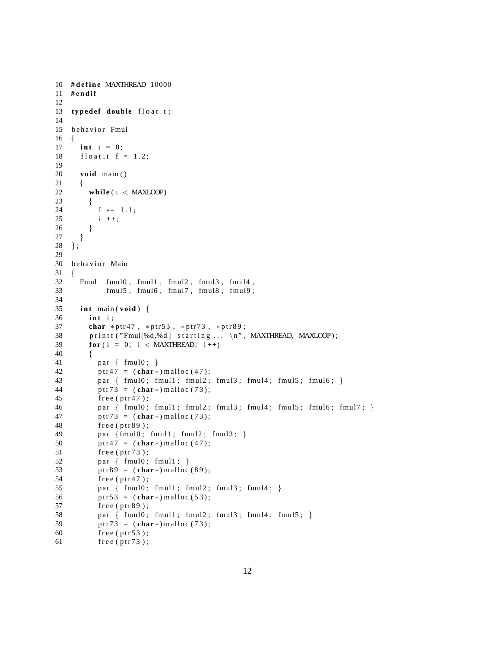```
10 # define MAXTHREAD 10000
11 # e n d i f
12
13 typedef double float t;
14
15 behavior Fmul
16 {
17 int i = 0;
18 f f l o a t f = 1.2;
19
20 void main ( )
21 {
22 while ( i < MAXLOOP)
23 {
24 f * = 1.1;
25 i ++;
26 }
27 }
28 } ;
29
30 behavior Main
31 {
32 Fmul fmul0 , fmul1 , fmul2 , fmul3 , fmul4 ,
33 fmul5 , fmul6 , fmul7 , fmul8 , fmul9 ;
34
35 i n t main ( void ) {
36 i n t i ;
37 char *ptr47, *ptr53, *ptr73, *ptr89;
38 printf ("Fmul[%d,%d] starting ... \n", MAXTHREAD, MAXLOOP);
39 for (i = 0; i < MAXTHREAD; i +)
40 {
41 par { fmul0; }
42 ptr47 = (char*) malloc (47);
43 par { fmul0; fmul1; fmul2; fmul3; fmul4; fmul5; fmul6; }
44 ptr73 = ) malloc (73);
45 free (ptr47);
46 par \{ \text{fmul0; full1; full2; full3; full4; full5; full6; full7; } \}47 ptr73 = (\text{char}*) \text{ malloc} (73);48 free (ptr89);
49 par {fmul0; fmul1; fmul2; fmul3; }
50 ptr47 = (char*) malloc (47);
51 free ( ptr73 );
52 par { fmu10; fmu11; }
53 ptr89 =  malloc (89);
54 free ( ptr47 );
55 par { fmul0; fmul1; fmul2; fmul3; fmul4; }
56 ptr 5 3 = (\text{char}*) malloc (53);
57 free (ptr89);
58 par { fmul0; fmul1; fmul2; fmul3; fmul4; fmul5; }
59 ptr73 =  malloc (73);
60 free ( ptr53 );
61 free (ptr73);
```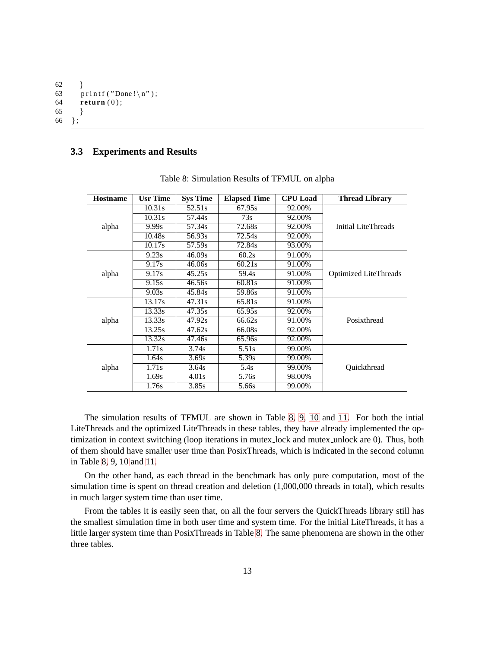```
62
       \}63
       print(f('Done! \n\cdot \n),64
       return (0);65
       \}\};
66
```
#### <span id="page-18-0"></span>**Experiments and Results**  $3.3$

| <b>Hostname</b> | <b>Usr Time</b> | <b>Sys Time</b> | <b>Elapsed Time</b> | <b>CPU</b> Load | <b>Thread Library</b>        |
|-----------------|-----------------|-----------------|---------------------|-----------------|------------------------------|
|                 | 10.31s          | 52.51s          | 67.95s              | 92.00%          |                              |
|                 | 10.31s          | 57.44s          | 73s                 | 92.00%          |                              |
| alpha           | 9.99s           | 57.34s          | 72.68s              | 92.00%          | Initial LiteThreads          |
|                 | 10.48s          | 56.93s          | 72.54s              | 92.00%          |                              |
|                 | 10.17s          | 57.59s          | 72.84s              | 93.00%          |                              |
|                 | 9.23s           | 46.09s          | 60.2s               | 91.00%          |                              |
|                 | 9.17s           | 46.06s          | 60.21s              | 91.00%          |                              |
| alpha           | 9.17s           | 45.25s          | 59.4s               | 91.00%          | <b>Optimized LiteThreads</b> |
|                 | 9.15s           | 46.56s          | 60.81s              | 91.00%          |                              |
|                 | 9.03s           | 45.84s          | 59.86s              | 91.00%          |                              |
|                 | 13.17s          | 47.31s          | 65.81s              | 91.00%          |                              |
|                 | 13.33s          | 47.35s          | 65.95s              | 92.00%          |                              |
| alpha           | 13.33s          | 47.92s          | 66.62s              | 91.00%          | Posixthread                  |
|                 | 13.25s          | 47.62s          | 66.08s              | 92.00%          |                              |
|                 | 13.32s          | 47.46s          | 65.96s              | 92.00%          |                              |
|                 | 1.71s           | 3.74s           | 5.51s               | 99.00%          |                              |
|                 | 1.64s           | 3.69s           | 5.39s               | 99.00%          |                              |
| alpha           | 1.71s           | 3.64s           | 5.4s                | 99.00%          | Quickthread                  |
|                 | 1.69s           | 4.01s           | 5.76s               | 98.00%          |                              |
|                 | 1.76s           | 3.85s           | 5.66s               | 99.00%          |                              |

Table 8: Simulation Results of TFMUL on alpha

The simulation results of TFMUL are shown in Table 8, 9, 10 and 11. For both the intial LiteThreads and the optimized LiteThreads in these tables, they have already implemented the optimization in context switching (loop iterations in mutex\_lock and mutex\_unlock are 0). Thus, both of them should have smaller user time than PosixThreads, which is indicated in the second column in Table 8, 9, 10 and 11.

On the other hand, as each thread in the benchmark has only pure computation, most of the simulation time is spent on thread creation and deletion (1,000,000 threads in total), which results in much larger system time than user time.

From the tables it is easily seen that, on all the four servers the QuickThreads library still has the smallest simulation time in both user time and system time. For the initial LiteThreads, it has a little larger system time than PosixThreads in Table 8. The same phenomena are shown in the other three tables.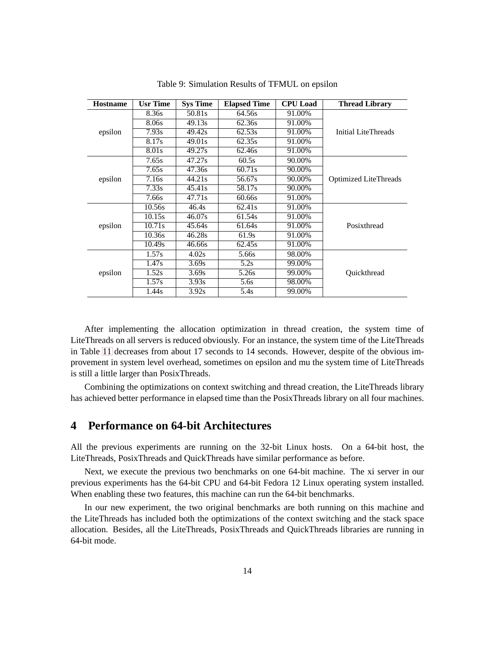| <b>Hostname</b> | <b>Usr Time</b> | <b>Sys Time</b> | <b>Elapsed Time</b> | <b>CPU</b> Load | <b>Thread Library</b>        |
|-----------------|-----------------|-----------------|---------------------|-----------------|------------------------------|
|                 | 8.36s           | 50.81s          | 64.56s              | 91.00%          |                              |
|                 | 8.06s           | 49.13s          | 62.36s              | 91.00%          |                              |
| epsilon         | 7.93s           | 49.42s          | 62.53s              | 91.00%          | Initial LiteThreads          |
|                 | 8.17s           | 49.01s          | 62.35s              | 91.00%          |                              |
|                 | 8.01s           | 49.27s          | 62.46s              | 91.00%          |                              |
|                 | 7.65s           | 47.27s          | 60.5s               | 90.00%          |                              |
|                 | 7.65s           | 47.36s          | 60.71s              | 90.00%          |                              |
| epsilon         | 7.16s           | 44.21s          | 56.67s              | 90.00%          | <b>Optimized LiteThreads</b> |
|                 | 7.33s           | 45.41s          | 58.17s              | 90.00%          |                              |
|                 | 7.66s           | 47.71s          | 60.66s              | 91.00%          |                              |
|                 | 10.56s          | 46.4s           | 62.41s              | 91.00%          |                              |
|                 | 10.15s          | 46.07s          | 61.54s              | 91.00%          |                              |
| epsilon         | 10.71s          | 45.64s          | 61.64s              | 91.00%          | Posixthread                  |
|                 | 10.36s          | 46.28s          | 61.9s               | 91.00%          |                              |
|                 | 10.49s          | 46.66s          | 62.45s              | 91.00%          |                              |
|                 | 1.57s           | 4.02s           | 5.66s               | 98.00%          |                              |
|                 | 1.47s           | 3.69s           | 5.2s                | 99.00%          |                              |
| epsilon         | 1.52s           | 3.69s           | 5.26s               | 99.00%          | Quickthread                  |
|                 | 1.57s           | 3.93s           | 5.6s                | 98.00%          |                              |
|                 | 1.44s           | 3.92s           | 5.4s                | 99.00%          |                              |

Table 9: Simulation Results of TFMUL on epsilon

After implementing the allocation optimization in thread creation, the system time of LiteThreads on all servers is reduced obviously. For an instance, the system time of the LiteThreads in Table 11 decreases from about 17 seconds to 14 seconds. However, despite of the obvious improvement in system level overhead, sometimes on epsilon and mu the system time of LiteThreads is still a little larger than PosixThreads.

Combining the optimizations on context switching and thread creation, the LiteThreads library has achieved better performance in elapsed time than the PosixThreads library on all four machines.

#### <span id="page-19-0"></span>**Performance on 64-bit Architectures**  $\overline{\mathbf{4}}$

All the previous experiments are running on the 32-bit Linux hosts. On a 64-bit host, the LiteThreads, PosixThreads and QuickThreads have similar performance as before.

Next, we execute the previous two benchmarks on one 64-bit machine. The xi server in our previous experiments has the 64-bit CPU and 64-bit Fedora 12 Linux operating system installed. When enabling these two features, this machine can run the 64-bit benchmarks.

In our new experiment, the two original benchmarks are both running on this machine and the LiteThreads has included both the optimizations of the context switching and the stack space allocation. Besides, all the LiteThreads, PosixThreads and QuickThreads libraries are running in 64-bit mode.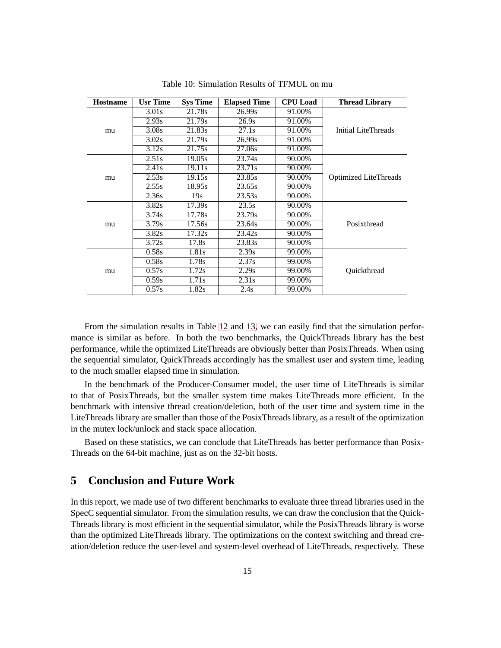| <b>Hostname</b> | Usr Time | <b>Sys Time</b> | <b>Elapsed Time</b> | <b>CPU</b> Load | <b>Thread Library</b>        |
|-----------------|----------|-----------------|---------------------|-----------------|------------------------------|
|                 | 3.01s    | 21.78s          | 26.99s              | 91.00%          |                              |
|                 | 2.93s    | 21.79s          | 26.9s               | 91.00%          |                              |
| mu              | 3.08s    | 21.83s          | 27.1s               | 91.00%          | Initial LiteThreads          |
|                 | 3.02s    | 21.79s          | 26.99s              | 91.00%          |                              |
|                 | 3.12s    | 21.75s          | 27.06s              | 91.00%          |                              |
|                 | 2.51s    | 19.05s          | 23.74s              | 90.00%          |                              |
|                 | 2.41s    | 19.11s          | 23.71s              | 90.00%          |                              |
| mu              | 2.53s    | 19.15s          | 23.85s              | 90.00%          | <b>Optimized LiteThreads</b> |
|                 | 2.55s    | 18.95s          | 23.65s              | 90.00%          |                              |
|                 | 2.36s    | 19s             | 23.53s              | 90.00%          |                              |
|                 | 3.82s    | 17.39s          | 23.5s               | 90.00%          |                              |
|                 | 3.74s    | 17.78s          | 23.79s              | 90.00%          |                              |
| mu              | 3.79s    | 17.56s          | 23.64s              | 90.00%          | Posixthread                  |
|                 | 3.82s    | 17.32s          | 23.42s              | 90.00%          |                              |
|                 | 3.72s    | 17.8s           | 23.83s              | 90.00%          |                              |
|                 | 0.58s    | 1.81s           | 2.39s               | 99.00%          |                              |
| mu              | 0.58s    | 1.78s           | 2.37s               | 99.00%          |                              |
|                 | 0.57s    | 1.72s           | 2.29s               | 99.00%          | Quickthread                  |
|                 | 0.59s    | 1.71s           | 2.31s               | 99.00%          |                              |
|                 | 0.57s    | 1.82s           | 2.4s                | 99.00%          |                              |

Table 10: Simulation Results of TFMUL on mu

From the simulation results in Table 12 and 13, we can easily find that the simulation performance is similar as before. In both the two benchmarks, the QuickThreads library has the best performance, while the optimized LiteThreads are obviously better than PosixThreads. When using the sequential simulator, QuickThreads accordingly has the smallest user and system time, leading to the much smaller elapsed time in simulation.

In the benchmark of the Producer-Consumer model, the user time of LiteThreads is similar to that of PosixThreads, but the smaller system time makes LiteThreads more efficient. In the benchmark with intensive thread creation/deletion, both of the user time and system time in the LiteThreads library are smaller than those of the PosixThreads library, as a result of the optimization in the mutex lock/unlock and stack space allocation.

Based on these statistics, we can conclude that LiteThreads has better performance than Posix-Threads on the 64-bit machine, just as on the 32-bit hosts.

#### <span id="page-20-0"></span>5 **Conclusion and Future Work**

In this report, we made use of two different benchmarks to evaluate three thread libraries used in the SpecC sequential simulator. From the simulation results, we can draw the conclusion that the Quick-Threads library is most efficient in the sequential simulator, while the PosixThreads library is worse than the optimized LiteThreads library. The optimizations on the context switching and thread creation/deletion reduce the user-level and system-level overhead of LiteThreads, respectively. These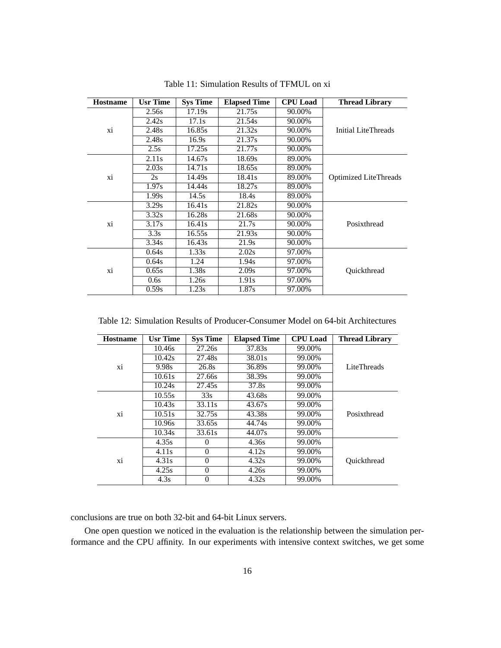| <b>Hostname</b> | <b>Usr Time</b> | <b>Sys Time</b> | <b>Elapsed Time</b> | <b>CPU</b> Load | <b>Thread Library</b>        |
|-----------------|-----------------|-----------------|---------------------|-----------------|------------------------------|
|                 | 2.56s           | 17.19s          | 21.75s              | 90.00%          |                              |
|                 | 2.42s           | 17.1s           | 21.54s              | 90.00%          |                              |
| xi              | 2.48s           | 16.85s          | 21.32s              | 90.00%          | Initial LiteThreads          |
|                 | 2.48s           | 16.9s           | 21.37s              | 90.00%          |                              |
|                 | 2.5s            | 17.25s          | 21.77s              | 90.00%          |                              |
|                 | 2.11s           | 14.67s          | 18.69s              | 89.00%          |                              |
|                 | 2.03s           | 14.71s          | 18.65s              | 89.00%          |                              |
| xi              | 2s              | 14.49s          | 18.41s              | 89.00%          | <b>Optimized LiteThreads</b> |
|                 | 1.97s           | 14.44s          | 18.27s              | 89.00%          |                              |
|                 | 1.99s           | 14.5s           | 18.4s               | 89.00%          |                              |
|                 | 3.29s           | 16.41s          | 21.82s              | 90.00%          |                              |
|                 | 3.32s           | 16.28s          | 21.68s              | 90.00%          |                              |
| xi              | 3.17s           | 16.41s          | 21.7s               | 90.00%          | Posixthread                  |
|                 | 3.3s            | 16.55s          | 21.93s              | 90.00%          |                              |
|                 | 3.34s           | 16.43s          | 21.9s               | 90.00%          |                              |
|                 | 0.64s           | 1.33s           | 2.02s               | 97.00%          |                              |
|                 | 0.64s           | 1.24            | 1.94s               | 97.00%          |                              |
| xi              | 0.65s           | 1.38s           | 2.09s               | 97.00%          | Ouickthread                  |
|                 | 0.6s            | 1.26s           | 1.91s               | 97.00%          |                              |
|                 | 0.59s           | 1.23s           | 1.87s               | 97.00%          |                              |

Table 11: Simulation Results of TFMUL on xi

Table 12: Simulation Results of Producer-Consumer Model on 64-bit Architectures

| <b>Hostname</b> | <b>Usr Time</b> | <b>Sys Time</b> | <b>Elapsed Time</b> | <b>CPU</b> Load | <b>Thread Library</b> |
|-----------------|-----------------|-----------------|---------------------|-----------------|-----------------------|
|                 | 10.46s          | 27.26s          | 37.83s              | 99.00%          |                       |
|                 | 10.42s          | 27.48s          | 38.01s              | 99.00%          |                       |
| xi              | 9.98s           | 26.8s           | 36.89s              | 99.00%          | LiteThreads           |
|                 | 10.61s          | 27.66s          | 38.39s              | 99.00%          |                       |
|                 | 10.24s          | 27.45s          | 37.8s               | 99.00%          |                       |
|                 | 10.55s          | 33s             | 43.68s              | 99.00%          |                       |
|                 | 10.43s          | 33.11s          | 43.67s              | 99.00%          |                       |
| xi              | 10.51s          | 32.75s          | 43.38s              | 99.00%          | Posixthread           |
|                 | 10.96s          | 33.65s          | 44.74s              | 99.00%          |                       |
|                 | 10.34s          | 33.61s          | 44.07s              | 99.00%          |                       |
|                 | 4.35s           | $\theta$        | 4.36s               | 99.00%          |                       |
| xi              | 4.11s           | $\theta$        | 4.12s               | 99.00%          |                       |
|                 | 4.31s           | $\Omega$        | 4.32s               | 99.00%          | Ouickthread           |
|                 | 4.25s           | $\theta$        | 4.26s               | 99.00%          |                       |
|                 | 4.3s            | $\theta$        | 4.32s               | 99.00%          |                       |

conclusions are true on both 32-bit and 64-bit Linux servers.

One open question we noticed in the evaluation is the relationship between the simulation performance and the CPU affinity. In our experiments with intensive context switches, we get some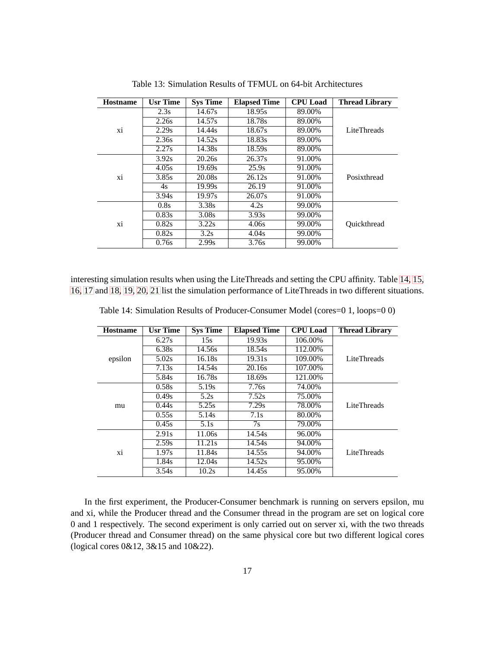| <b>Hostname</b> | <b>Usr Time</b> | <b>Sys Time</b> | <b>Elapsed Time</b> | <b>CPU</b> Load | <b>Thread Library</b> |
|-----------------|-----------------|-----------------|---------------------|-----------------|-----------------------|
|                 | 2.3s            | 14.67s          | 18.95s              | 89.00%          |                       |
|                 | 2.26s           | 14.57s          | 18.78s              | 89.00%          |                       |
| xi              | 2.29s           | 14.44s          | 18.67s              | 89.00%          | LiteThreads           |
|                 | 2.36s           | 14.52s          | 18.83s              | 89.00%          |                       |
|                 | 2.27s           | 14.38s          | 18.59s              | 89.00%          |                       |
|                 | 3.92s           | 20.26s          | 26.37s              | 91.00%          |                       |
|                 | 4.05s           | 19.69s          | 25.9s               | 91.00%          |                       |
| xi              | 3.85s           | 20.08s          | 26.12s              | 91.00%          | Posixthread           |
|                 | 4s              | 19.99s          | 26.19               | 91.00%          |                       |
|                 | 3.94s           | 19.97s          | 26.07s              | 91.00%          |                       |
|                 | 0.8s            | 3.38s           | 4.2s                | 99.00%          |                       |
|                 | 0.83s           | 3.08s           | 3.93s               | 99.00%          |                       |
| xi              | 0.82s           | 3.22s           | 4.06s               | 99.00%          | Ouickthread           |
|                 | 0.82s           | 3.2s            | 4.04s               | 99.00%          |                       |
|                 | 0.76s           | 2.99s           | 3.76s               | 99.00%          |                       |

Table 13: Simulation Results of TFMUL on 64-bit Architectures

interesting simulation results when using the LiteThreads and setting the CPU affinity. Table [14, 15,](#page-20-0) [16, 17](#page-20-0) and [18, 19, 20, 21](#page-20-0) list the simulation performance of LiteThreads in two different situations.

| <b>Hostname</b> | <b>Usr Time</b> | <b>Sys Time</b>   | <b>Elapsed Time</b> | <b>CPU</b> Load | <b>Thread Library</b> |
|-----------------|-----------------|-------------------|---------------------|-----------------|-----------------------|
|                 | 6.27s           | 15s               | 19.93s              | 106.00%         |                       |
|                 | 6.38s           | 14.56s            | 18.54s              | 112.00%         |                       |
| epsilon         | 5.02s           | 16.18s            | 19.31s              | 109.00%         | LiteThreads           |
|                 | 7.13s           | 14.54s            | 20.16s              | 107.00%         |                       |
|                 | 5.84s           | 16.78s            | 18.69s              | 121.00%         |                       |
|                 | 0.58s           | 5.19 <sub>s</sub> | 7.76s               | 74.00%          |                       |
|                 | 0.49s           | 5.2s              | 7.52s               | 75.00%          |                       |
| mu              | 0.44s           | 5.25s             | 7.29s               | 78.00%          | LiteThreads           |
|                 | 0.55s           | 5.14s             | 7.1s                | 80.00%          |                       |
|                 | 0.45s           | 5.1s              | 7s                  | 79.00%          |                       |
|                 | 2.91s           | 11.06s            | 14.54s              | 96.00%          |                       |
|                 | 2.59s           | 11.21s            | 14.54s              | 94.00%          |                       |
| xi              | 1.97s           | 11.84s            | 14.55s              | 94.00%          | LiteThreads           |
|                 | 1.84s           | 12.04s            | 14.52s              | 95.00%          |                       |
|                 | 3.54s           | 10.2s             | 14.45s              | 95.00%          |                       |

Table 14: Simulation Results of Producer-Consumer Model (cores=0 1, loops=0 0)

In the first experiment, the Producer-Consumer benchmark is running on servers epsilon, mu and xi, while the Producer thread and the Consumer thread in the program are set on logical core 0 and 1 respectively. The second experiment is only carried out on server xi, with the two threads (Producer thread and Consumer thread) on the same physical core but two different logical cores (logical cores 0&12, 3&15 and 10&22).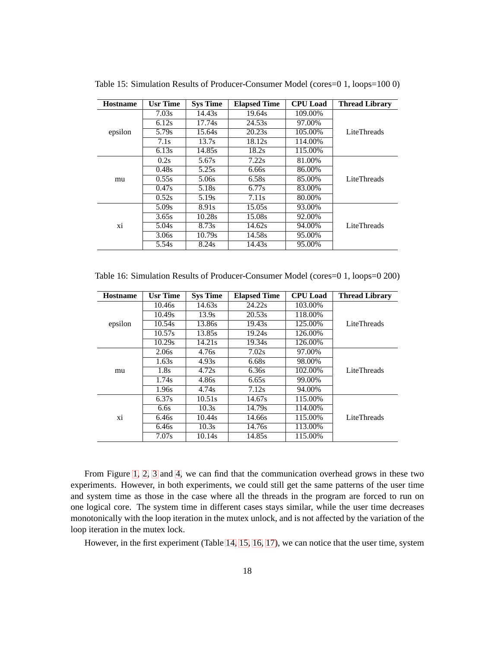| <b>Hostname</b> | <b>Usr Time</b> | <b>Sys Time</b> | <b>Elapsed Time</b> | <b>CPU</b> Load | <b>Thread Library</b> |
|-----------------|-----------------|-----------------|---------------------|-----------------|-----------------------|
|                 | 7.03s           | 14.43s          | 19.64s              | 109.00%         |                       |
|                 | 6.12s           | 17.74s          | 24.53s              | 97.00%          |                       |
| epsilon         | 5.79s           | 15.64s          | 20.23s              | 105.00%         | LiteThreads           |
|                 | 7.1s            | 13.7s           | 18.12s              | 114.00%         |                       |
|                 | 6.13s           | 14.85s          | 18.2s               | 115.00%         |                       |
|                 | 0.2s            | 5.67s           | 7.22s               | 81.00%          |                       |
|                 | 0.48s           | 5.25s           | 6.66s               | 86.00%          |                       |
| mu              | 0.55s           | 5.06s           | 6.58s               | 85.00%          | LiteThreads           |
|                 | 0.47s           | 5.18s           | 6.77s               | 83.00%          |                       |
|                 | 0.52s           | 5.19s           | 7.11s               | 80.00%          |                       |
|                 | 5.09s           | 8.91s           | 15.05s              | 93.00%          |                       |
|                 | 3.65s           | 10.28s          | 15.08s              | 92.00%          |                       |
| xi              | 5.04s           | 8.73s           | 14.62s              | 94.00%          | LiteThreads           |
|                 | 3.06s           | 10.79s          | 14.58s              | 95.00%          |                       |
|                 | 5.54s           | 8.24s           | 14.43s              | 95.00%          |                       |

Table 15: Simulation Results of Producer-Consumer Model (cores=0 1, loops=100 0)

Table 16: Simulation Results of Producer-Consumer Model (cores=0 1, loops=0 200)

| <b>Hostname</b> | <b>Usr Time</b> | <b>Sys Time</b> | <b>Elapsed Time</b> | <b>CPU</b> Load | <b>Thread Library</b> |
|-----------------|-----------------|-----------------|---------------------|-----------------|-----------------------|
|                 | 10.46s          | 14.63s          | 24.22s              | 103.00%         |                       |
|                 | 10.49s          | 13.9s           | 20.53s              | 118.00%         |                       |
| epsilon         | 10.54s          | 13.86s          | 19.43s              | 125.00%         | LiteThreads           |
|                 | 10.57s          | 13.85s          | 19.24s              | 126.00%         |                       |
|                 | 10.29s          | 14.21s          | 19.34s              | 126.00%         |                       |
|                 | 2.06s           | 4.76s           | 7.02s               | 97.00%          |                       |
|                 | 1.63s           | 4.93s           | 6.68s               | 98.00%          |                       |
| mu              | 1.8s            | 4.72s           | 6.36s               | 102.00%         | LiteThreads           |
|                 | 1.74s           | 4.86s           | 6.65s               | 99.00%          |                       |
|                 | 1.96s           | 4.74s           | 7.12s               | 94.00%          |                       |
|                 | 6.37s           | 10.51s          | 14.67s              | 115.00%         |                       |
|                 | 6.6s            | 10.3s           | 14.79s              | 114.00%         |                       |
| xi              | 6.46s           | 10.44s          | 14.66s              | 115.00%         | LiteThreads           |
|                 | 6.46s           | 10.3s           | 14.76s              | 113.00%         |                       |
|                 | 7.07s           | 10.14s          | 14.85s              | 115.00%         |                       |

From Figure 1, 2, 3 and 4, we can find that the communication overhead grows in these two experiments. However, in both experiments, we could still get the same patterns of the user time and system time as those in the case where all the threads in the program are forced to run on one logical core. The system time in different cases stays similar, while the user time decreases monotonically with the loop iteration in the mutex unlock, and is not affected by the variation of the loop iteration in the mutex lock.

However, in the first experiment (Table 14, 15, 16, 17), we can notice that the user time, system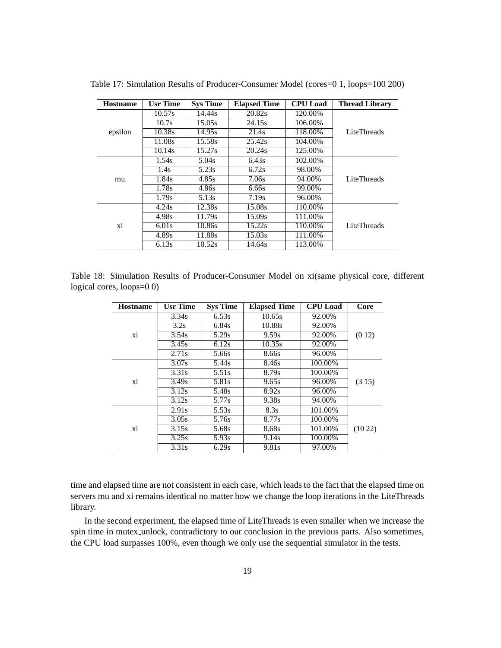| <b>Hostname</b> | <b>Usr Time</b> | <b>Sys Time</b> | <b>Elapsed Time</b> | <b>CPU</b> Load | <b>Thread Library</b> |
|-----------------|-----------------|-----------------|---------------------|-----------------|-----------------------|
|                 | 10.57s          | 14.44s          | 20.82s              | 120.00%         |                       |
|                 | 10.7s           | 15.05s          | 24.15s              | 106.00%         |                       |
| epsilon         | 10.38s          | 14.95s          | 21.4s               | 118.00%         | LiteThreads           |
|                 | 11.08s          | 15.58s          | 25.42s              | 104.00%         |                       |
|                 | 10.14s          | 15.27s          | 20.24s              | 125.00%         |                       |
|                 | 1.54s           | 5.04s           | 6.43s               | 102.00%         |                       |
|                 | 1.4s            | 5.23s           | 6.72s               | 98.00%          |                       |
| mu              | 1.84s           | 4.85s           | 7.06s               | 94.00%          | LiteThreads           |
|                 | 1.78s           | 4.86s           | 6.66s               | 99.00%          |                       |
|                 | 1.79s           | 5.13s           | 7.19s               | 96.00%          |                       |
|                 | 4.24s           | 12.38s          | 15.08s              | 110.00%         |                       |
|                 | 4.98s           | 11.79s          | 15.09s              | 111.00%         |                       |
| xi              | 6.01s           | 10.86s          | 15.22s              | 110.00%         | LiteThreads           |
|                 | 4.89s           | 11.88s          | 15.03s              | 111.00%         |                       |
|                 | 6.13s           | 10.52s          | 14.64s              | 113.00%         |                       |

Table 17: Simulation Results of Producer-Consumer Model (cores=0 1, loops=100 200)

Table 18: Simulation Results of Producer-Consumer Model on xi(same physical core, different logical cores, loops=0 0)

| <b>Hostname</b> | <b>Usr Time</b> | <b>Sys Time</b> | <b>Elapsed Time</b> | <b>CPU</b> Load | Core   |
|-----------------|-----------------|-----------------|---------------------|-----------------|--------|
|                 | 3.34s           | 6.53s           | 10.65s              | 92.00%          |        |
|                 | 3.2s            | 6.84s           | 10.88s              | 92.00%          |        |
| xi              | 3.54s           | 5.29s           | 9.59s               | 92.00%          | (012)  |
|                 | 3.45s           | 6.12s           | 10.35s              | 92.00%          |        |
|                 | 2.71s           | 5.66s           | 8.66s               | 96.00%          |        |
|                 | 3.07s           | 5.44s           | 8.46s               | 100.00%         |        |
|                 | 3.31s           | 5.51s           | 8.79s               | 100.00%         |        |
| xi              | 3.49s           | 5.81s           | 9.65s               | 96.00%          | (315)  |
|                 | 3.12s           | 5.48s           | 8.92s               | 96.00%          |        |
|                 | 3.12s           | 5.77s           | 9.38s               | 94.00%          |        |
|                 | 2.91s           | 5.53s           | 8.3s                | 101.00%         |        |
|                 | 3.05s           | 5.76s           | 8.77s               | 100.00%         |        |
| xi              | 3.15s           | 5.68s           | 8.68s               | 101.00%         | (1022) |
|                 | 3.25s           | 5.93s           | 9.14s               | 100.00%         |        |
|                 | 3.31s           | 6.29s           | 9.81s               | 97.00%          |        |

time and elapsed time are not consistent in each case, which leads to the fact that the elapsed time on servers mu and xi remains identical no matter how we change the loop iterations in the LiteThreads library.

In the second experiment, the elapsed time of LiteThreads is even smaller when we increase the spin time in mutex\_unlock, contradictory to our conclusion in the previous parts. Also sometimes, the CPU load surpasses 100%, even though we only use the sequential simulator in the tests.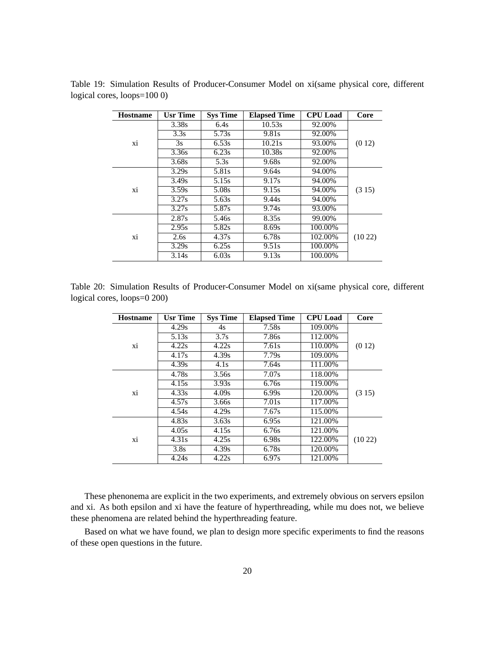| <b>Hostname</b> | <b>Usr Time</b> | <b>Sys Time</b> | <b>Elapsed Time</b> | <b>CPU</b> Load | Core   |
|-----------------|-----------------|-----------------|---------------------|-----------------|--------|
|                 | 3.38s           | 6.4s            | 10.53s              | 92.00%          |        |
|                 | 3.3s            | 5.73s           | 9.81s               | 92.00%          |        |
| xi              | 3s              | 6.53s           | 10.21s              | 93.00%          | (012)  |
|                 | 3.36s           | 6.23s           | $\overline{10.38s}$ | 92.00%          |        |
|                 | 3.68s           | 5.3s            | 9.68s               | 92.00%          |        |
|                 | 3.29s           | 5.81s           | 9.64s               | 94.00%          |        |
|                 | 3.49s           | 5.15s           | 9.17s               | 94.00%          |        |
| xi              | 3.59s           | 5.08s           | 9.15s               | 94.00%          | (315)  |
|                 | 3.27s           | 5.63s           | 9.44s               | 94.00%          |        |
|                 | 3.27s           | 5.87s           | 9.74s               | 93.00%          |        |
|                 | 2.87s           | 5.46s           | 8.35s               | 99.00%          |        |
|                 | 2.95s           | 5.82s           | 8.69s               | 100.00%         |        |
| xi              | 2.6s            | 4.37s           | 6.78s               | 102.00%         | (1022) |
|                 | 3.29s           | 6.25s           | 9.51s               | 100.00%         |        |
|                 | 3.14s           | 6.03s           | 9.13s               | 100.00%         |        |

Table 19: Simulation Results of Producer-Consumer Model on xi(same physical core, different logical cores,  $\text{loops}=1000$ )

Table 20: Simulation Results of Producer-Consumer Model on xi(same physical core, different logical cores,  $loops=0$  200)

| <b>Hostname</b> | <b>Usr Time</b> | <b>Sys Time</b> | <b>Elapsed Time</b> | <b>CPU</b> Load | Core   |
|-----------------|-----------------|-----------------|---------------------|-----------------|--------|
|                 | 4.29s           | 4s              | 7.58s               | 109.00%         |        |
|                 | 5.13s           | 3.7s            | 7.86s               | 112.00%         |        |
| xi              | 4.22s           | 4.22s           | 7.61s               | 110.00%         | (012)  |
|                 | 4.17s           | 4.39s           | 7.79s               | 109.00%         |        |
|                 | 4.39s           | 4.1s            | 7.64s               | 111.00%         |        |
|                 | 4.78s           | 3.56s           | 7.07s               | 118.00%         |        |
|                 | 4.15s           | 3.93s           | 6.76s               | 119.00%         |        |
| xi              | 4.33s           | 4.09s           | 6.99s               | 120.00%         | (315)  |
|                 | 4.57s           | 3.66s           | 7.01s               | 117.00%         |        |
|                 | 4.54s           | 4.29s           | 7.67s               | 115.00%         |        |
|                 | 4.83s           | 3.63s           | 6.95s               | 121.00%         |        |
|                 | 4.05s           | 4.15s           | 6.76s               | 121.00%         |        |
| xi              | 4.31s           | 4.25s           | 6.98s               | 122.00%         | (1022) |
|                 | 3.8s            | 4.39s           | 6.78s               | 120.00%         |        |
|                 | 4.24s           | 4.22s           | 6.97s               | 121.00%         |        |

These phenonema are explicit in the two experiments, and extremely obvious on servers epsilon and xi. As both epsilon and xi have the feature of hyperthreading, while mu does not, we believe these phenomena are related behind the hyperthreading feature.

Based on what we have found, we plan to design more specific experiments to find the reasons of these open questions in the future.